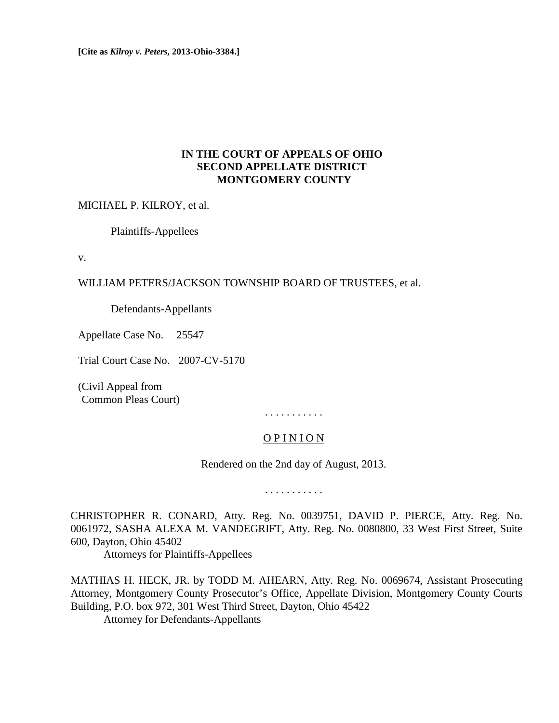**[Cite as** *Kilroy v. Peters***, 2013-Ohio-3384.]**

# **IN THE COURT OF APPEALS OF OHIO SECOND APPELLATE DISTRICT MONTGOMERY COUNTY**

MICHAEL P. KILROY, et al.

Plaintiffs-Appellees

v.

## WILLIAM PETERS/JACKSON TOWNSHIP BOARD OF TRUSTEES, et al.

Defendants-Appellants

Appellate Case No. 25547

Trial Court Case No. 2007-CV-5170

(Civil Appeal from (Common Pleas Court)

. . . . . . . . . . .

# O P I N I O N

Rendered on the 2nd day of August, 2013.

. . . . . . . . . . .

CHRISTOPHER R. CONARD, Atty. Reg. No. 0039751, DAVID P. PIERCE, Atty. Reg. No. 0061972, SASHA ALEXA M. VANDEGRIFT, Atty. Reg. No. 0080800, 33 West First Street, Suite 600, Dayton, Ohio 45402

Attorneys for Plaintiffs-Appellees

MATHIAS H. HECK, JR. by TODD M. AHEARN, Atty. Reg. No. 0069674, Assistant Prosecuting Attorney, Montgomery County Prosecutor's Office, Appellate Division, Montgomery County Courts Building, P.O. box 972, 301 West Third Street, Dayton, Ohio 45422

Attorney for Defendants-Appellants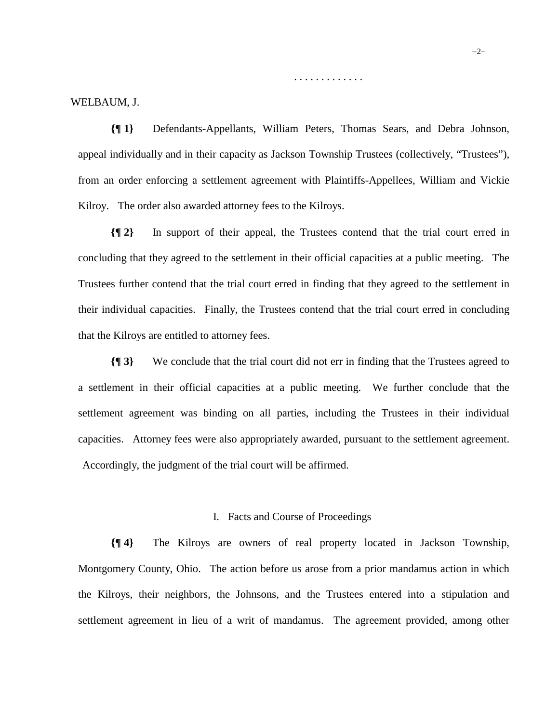. . . . . . . . . . . . .

#### WELBAUM, J.

**{¶ 1}** Defendants-Appellants, William Peters, Thomas Sears, and Debra Johnson, appeal individually and in their capacity as Jackson Township Trustees (collectively, "Trustees"), from an order enforcing a settlement agreement with Plaintiffs-Appellees, William and Vickie Kilroy. The order also awarded attorney fees to the Kilroys.

**{¶ 2}** In support of their appeal, the Trustees contend that the trial court erred in concluding that they agreed to the settlement in their official capacities at a public meeting. The Trustees further contend that the trial court erred in finding that they agreed to the settlement in their individual capacities. Finally, the Trustees contend that the trial court erred in concluding that the Kilroys are entitled to attorney fees.

**{¶ 3}** We conclude that the trial court did not err in finding that the Trustees agreed to a settlement in their official capacities at a public meeting. We further conclude that the settlement agreement was binding on all parties, including the Trustees in their individual capacities. Attorney fees were also appropriately awarded, pursuant to the settlement agreement. Accordingly, the judgment of the trial court will be affirmed.

### I. Facts and Course of Proceedings

**{¶ 4}** The Kilroys are owners of real property located in Jackson Township, Montgomery County, Ohio. The action before us arose from a prior mandamus action in which the Kilroys, their neighbors, the Johnsons, and the Trustees entered into a stipulation and settlement agreement in lieu of a writ of mandamus. The agreement provided, among other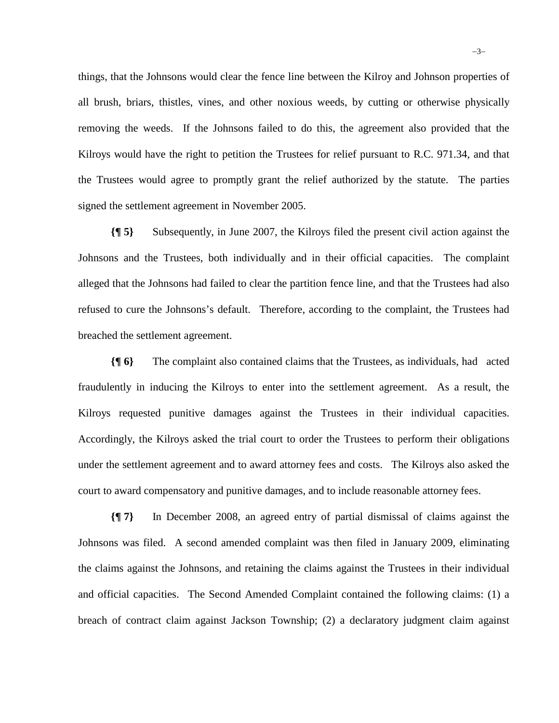things, that the Johnsons would clear the fence line between the Kilroy and Johnson properties of all brush, briars, thistles, vines, and other noxious weeds, by cutting or otherwise physically removing the weeds. If the Johnsons failed to do this, the agreement also provided that the Kilroys would have the right to petition the Trustees for relief pursuant to R.C. 971.34, and that the Trustees would agree to promptly grant the relief authorized by the statute. The parties signed the settlement agreement in November 2005.

**{¶ 5}** Subsequently, in June 2007, the Kilroys filed the present civil action against the Johnsons and the Trustees, both individually and in their official capacities. The complaint alleged that the Johnsons had failed to clear the partition fence line, and that the Trustees had also refused to cure the Johnsons's default. Therefore, according to the complaint, the Trustees had breached the settlement agreement.

**{¶ 6}** The complaint also contained claims that the Trustees, as individuals, had acted fraudulently in inducing the Kilroys to enter into the settlement agreement. As a result, the Kilroys requested punitive damages against the Trustees in their individual capacities. Accordingly, the Kilroys asked the trial court to order the Trustees to perform their obligations under the settlement agreement and to award attorney fees and costs. The Kilroys also asked the court to award compensatory and punitive damages, and to include reasonable attorney fees.

**{¶ 7}** In December 2008, an agreed entry of partial dismissal of claims against the Johnsons was filed. A second amended complaint was then filed in January 2009, eliminating the claims against the Johnsons, and retaining the claims against the Trustees in their individual and official capacities. The Second Amended Complaint contained the following claims: (1) a breach of contract claim against Jackson Township; (2) a declaratory judgment claim against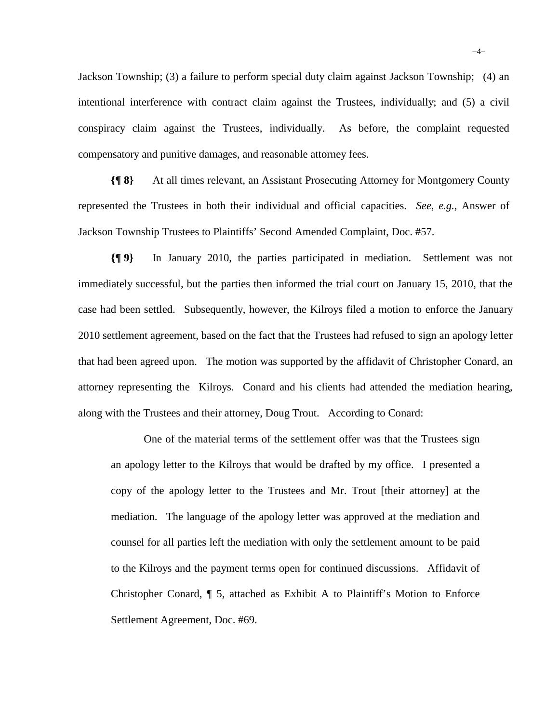Jackson Township; (3) a failure to perform special duty claim against Jackson Township; (4) an intentional interference with contract claim against the Trustees, individually; and (5) a civil conspiracy claim against the Trustees, individually. As before, the complaint requested compensatory and punitive damages, and reasonable attorney fees.

**{¶ 8}** At all times relevant, an Assistant Prosecuting Attorney for Montgomery County represented the Trustees in both their individual and official capacities. *See, e.g.*, Answer of Jackson Township Trustees to Plaintiffs' Second Amended Complaint, Doc. #57.

**{¶ 9}** In January 2010, the parties participated in mediation. Settlement was not immediately successful, but the parties then informed the trial court on January 15, 2010, that the case had been settled. Subsequently, however, the Kilroys filed a motion to enforce the January 2010 settlement agreement, based on the fact that the Trustees had refused to sign an apology letter that had been agreed upon. The motion was supported by the affidavit of Christopher Conard, an attorney representing the Kilroys. Conard and his clients had attended the mediation hearing, along with the Trustees and their attorney, Doug Trout. According to Conard:

One of the material terms of the settlement offer was that the Trustees sign an apology letter to the Kilroys that would be drafted by my office. I presented a copy of the apology letter to the Trustees and Mr. Trout [their attorney] at the mediation. The language of the apology letter was approved at the mediation and counsel for all parties left the mediation with only the settlement amount to be paid to the Kilroys and the payment terms open for continued discussions. Affidavit of Christopher Conard, ¶ 5, attached as Exhibit A to Plaintiff's Motion to Enforce Settlement Agreement, Doc. #69.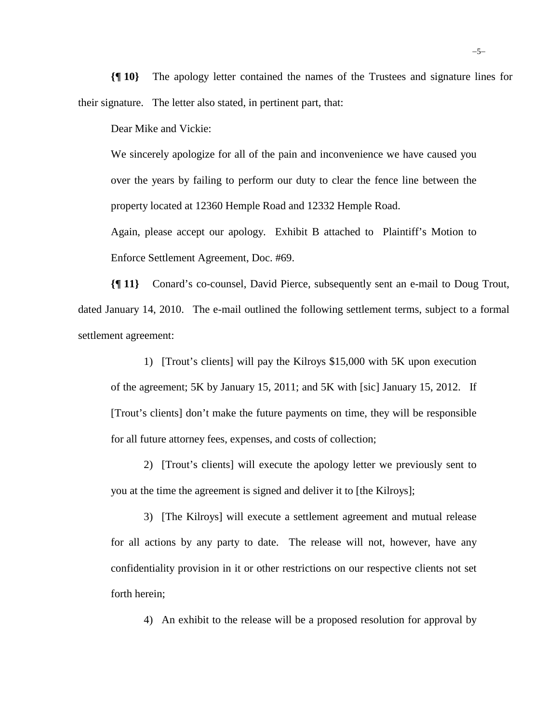**{¶ 10}** The apology letter contained the names of the Trustees and signature lines for their signature. The letter also stated, in pertinent part, that:

Dear Mike and Vickie:

We sincerely apologize for all of the pain and inconvenience we have caused you over the years by failing to perform our duty to clear the fence line between the property located at 12360 Hemple Road and 12332 Hemple Road.

Again, please accept our apology. Exhibit B attached to Plaintiff's Motion to Enforce Settlement Agreement, Doc. #69.

**{¶ 11}** Conard's co-counsel, David Pierce, subsequently sent an e-mail to Doug Trout, dated January 14, 2010. The e-mail outlined the following settlement terms, subject to a formal settlement agreement:

1) [Trout's clients] will pay the Kilroys \$15,000 with 5K upon execution of the agreement; 5K by January 15, 2011; and 5K with [sic] January 15, 2012. If [Trout's clients] don't make the future payments on time, they will be responsible for all future attorney fees, expenses, and costs of collection;

2) [Trout's clients] will execute the apology letter we previously sent to you at the time the agreement is signed and deliver it to [the Kilroys];

3) [The Kilroys] will execute a settlement agreement and mutual release for all actions by any party to date. The release will not, however, have any confidentiality provision in it or other restrictions on our respective clients not set forth herein;

4) An exhibit to the release will be a proposed resolution for approval by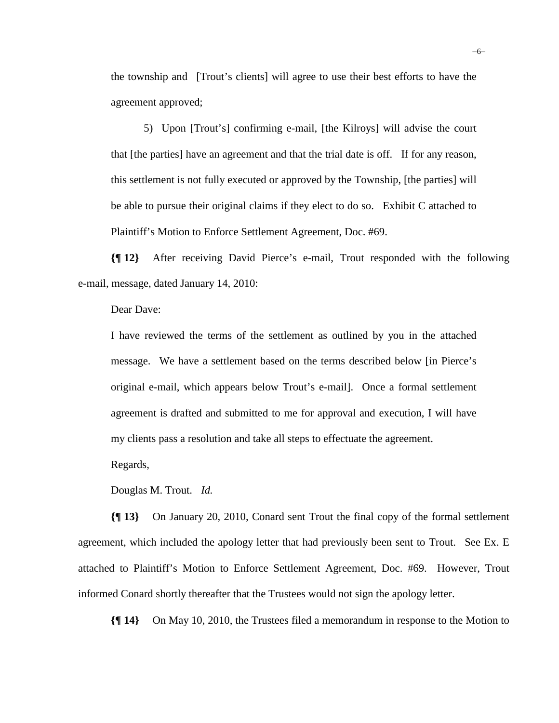the township and [Trout's clients] will agree to use their best efforts to have the agreement approved;

5) Upon [Trout's] confirming e-mail, [the Kilroys] will advise the court that [the parties] have an agreement and that the trial date is off. If for any reason, this settlement is not fully executed or approved by the Township, [the parties] will be able to pursue their original claims if they elect to do so. Exhibit C attached to Plaintiff's Motion to Enforce Settlement Agreement, Doc. #69.

**{¶ 12}** After receiving David Pierce's e-mail, Trout responded with the following e-mail, message, dated January 14, 2010:

Dear Dave:

I have reviewed the terms of the settlement as outlined by you in the attached message. We have a settlement based on the terms described below [in Pierce's original e-mail, which appears below Trout's e-mail]. Once a formal settlement agreement is drafted and submitted to me for approval and execution, I will have my clients pass a resolution and take all steps to effectuate the agreement.

Regards,

Douglas M. Trout. *Id.*

**{¶ 13}** On January 20, 2010, Conard sent Trout the final copy of the formal settlement agreement, which included the apology letter that had previously been sent to Trout. See Ex. E attached to Plaintiff's Motion to Enforce Settlement Agreement, Doc. #69. However, Trout informed Conard shortly thereafter that the Trustees would not sign the apology letter.

**{¶ 14}** On May 10, 2010, the Trustees filed a memorandum in response to the Motion to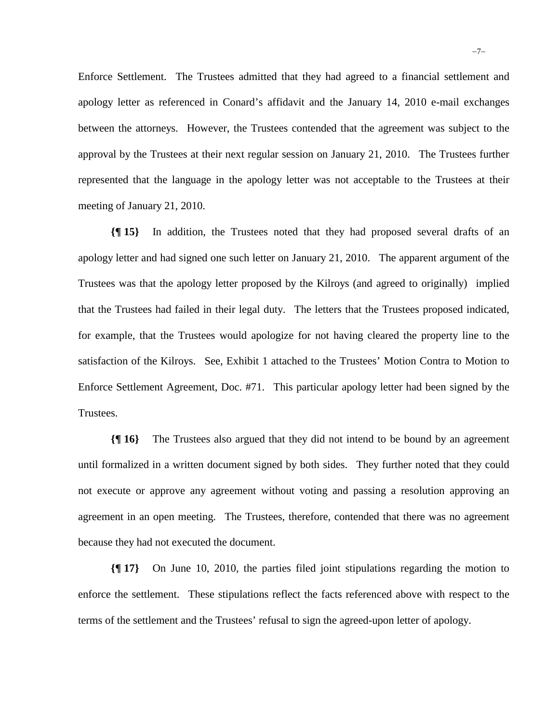Enforce Settlement. The Trustees admitted that they had agreed to a financial settlement and apology letter as referenced in Conard's affidavit and the January 14, 2010 e-mail exchanges between the attorneys. However, the Trustees contended that the agreement was subject to the approval by the Trustees at their next regular session on January 21, 2010. The Trustees further represented that the language in the apology letter was not acceptable to the Trustees at their meeting of January 21, 2010.

**{¶ 15}** In addition, the Trustees noted that they had proposed several drafts of an apology letter and had signed one such letter on January 21, 2010. The apparent argument of the Trustees was that the apology letter proposed by the Kilroys (and agreed to originally) implied that the Trustees had failed in their legal duty. The letters that the Trustees proposed indicated, for example, that the Trustees would apologize for not having cleared the property line to the satisfaction of the Kilroys. See, Exhibit 1 attached to the Trustees' Motion Contra to Motion to Enforce Settlement Agreement, Doc. #71. This particular apology letter had been signed by the Trustees.

**{¶ 16}** The Trustees also argued that they did not intend to be bound by an agreement until formalized in a written document signed by both sides. They further noted that they could not execute or approve any agreement without voting and passing a resolution approving an agreement in an open meeting. The Trustees, therefore, contended that there was no agreement because they had not executed the document.

**{¶ 17}** On June 10, 2010, the parties filed joint stipulations regarding the motion to enforce the settlement. These stipulations reflect the facts referenced above with respect to the terms of the settlement and the Trustees' refusal to sign the agreed-upon letter of apology.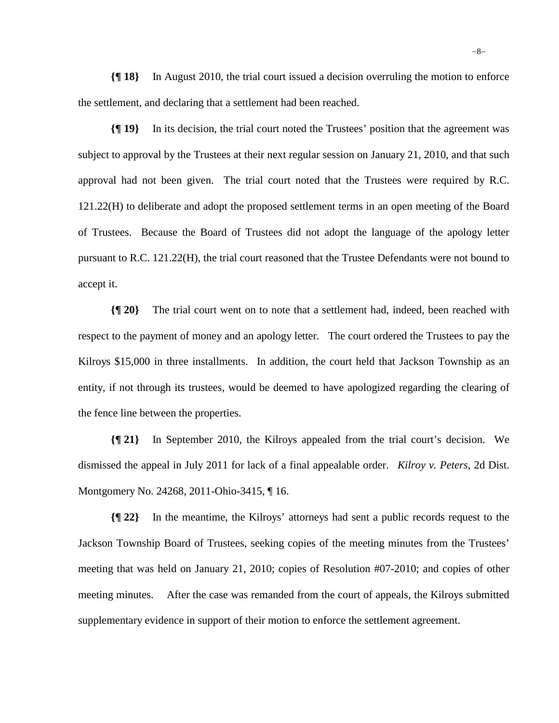**{¶ 18}** In August 2010, the trial court issued a decision overruling the motion to enforce the settlement, and declaring that a settlement had been reached.

**{¶ 19}** In its decision, the trial court noted the Trustees' position that the agreement was subject to approval by the Trustees at their next regular session on January 21, 2010, and that such approval had not been given. The trial court noted that the Trustees were required by R.C. 121.22(H) to deliberate and adopt the proposed settlement terms in an open meeting of the Board of Trustees. Because the Board of Trustees did not adopt the language of the apology letter pursuant to R.C. 121.22(H), the trial court reasoned that the Trustee Defendants were not bound to accept it.

**{¶ 20}** The trial court went on to note that a settlement had, indeed, been reached with respect to the payment of money and an apology letter. The court ordered the Trustees to pay the Kilroys \$15,000 in three installments. In addition, the court held that Jackson Township as an entity, if not through its trustees, would be deemed to have apologized regarding the clearing of the fence line between the properties.

**{¶ 21}** In September 2010, the Kilroys appealed from the trial court's decision. We dismissed the appeal in July 2011 for lack of a final appealable order. *Kilroy v. Peters*, 2d Dist. Montgomery No. 24268, 2011-Ohio-3415, ¶ 16.

**{¶ 22}** In the meantime, the Kilroys' attorneys had sent a public records request to the Jackson Township Board of Trustees, seeking copies of the meeting minutes from the Trustees' meeting that was held on January 21, 2010; copies of Resolution #07-2010; and copies of other meeting minutes. After the case was remanded from the court of appeals, the Kilroys submitted supplementary evidence in support of their motion to enforce the settlement agreement.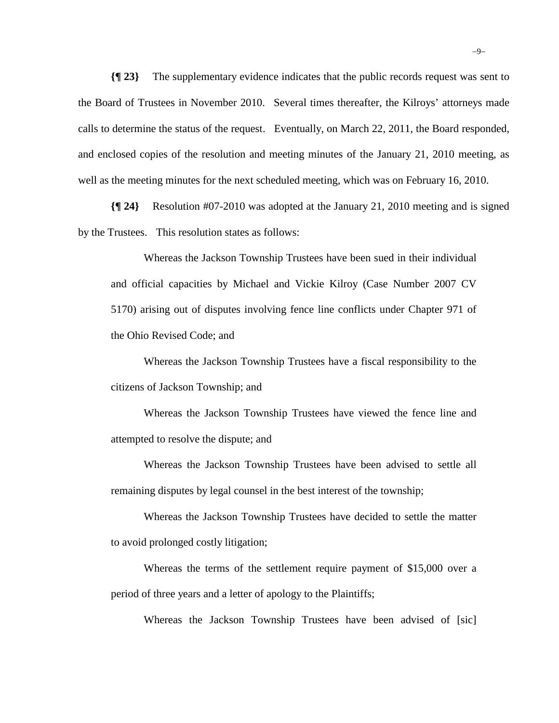**{¶ 23}** The supplementary evidence indicates that the public records request was sent to the Board of Trustees in November 2010. Several times thereafter, the Kilroys' attorneys made calls to determine the status of the request. Eventually, on March 22, 2011, the Board responded, and enclosed copies of the resolution and meeting minutes of the January 21, 2010 meeting, as well as the meeting minutes for the next scheduled meeting, which was on February 16, 2010.

**{¶ 24}** Resolution #07-2010 was adopted at the January 21, 2010 meeting and is signed by the Trustees. This resolution states as follows:

Whereas the Jackson Township Trustees have been sued in their individual and official capacities by Michael and Vickie Kilroy (Case Number 2007 CV 5170) arising out of disputes involving fence line conflicts under Chapter 971 of the Ohio Revised Code; and

Whereas the Jackson Township Trustees have a fiscal responsibility to the citizens of Jackson Township; and

Whereas the Jackson Township Trustees have viewed the fence line and attempted to resolve the dispute; and

Whereas the Jackson Township Trustees have been advised to settle all remaining disputes by legal counsel in the best interest of the township;

Whereas the Jackson Township Trustees have decided to settle the matter to avoid prolonged costly litigation;

Whereas the terms of the settlement require payment of \$15,000 over a period of three years and a letter of apology to the Plaintiffs;

Whereas the Jackson Township Trustees have been advised of [sic]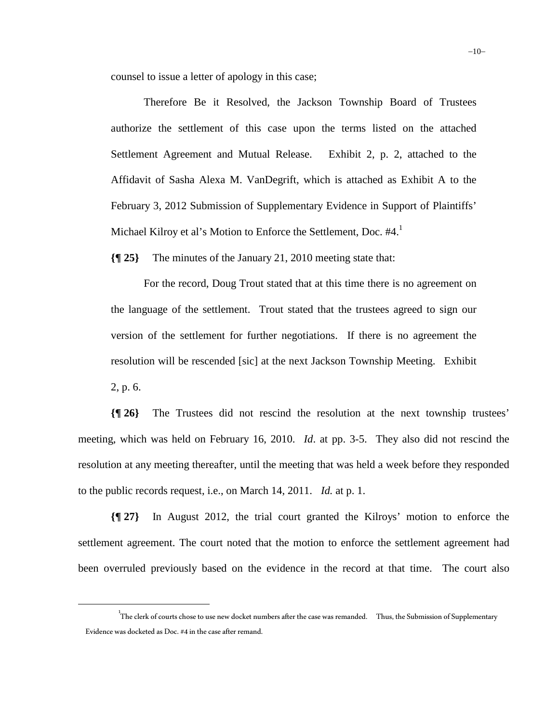counsel to issue a letter of apology in this case;

Therefore Be it Resolved, the Jackson Township Board of Trustees authorize the settlement of this case upon the terms listed on the attached Settlement Agreement and Mutual Release. Exhibit 2, p. 2, attached to the Affidavit of Sasha Alexa M. VanDegrift, which is attached as Exhibit A to the February 3, 2012 Submission of Supplementary Evidence in Support of Plaintiffs' Michael Kilroy et al's Motion to Enforce the Settlement, Doc. #4.<sup>1</sup>

**{¶ 25}** The minutes of the January 21, 2010 meeting state that:

For the record, Doug Trout stated that at this time there is no agreement on the language of the settlement. Trout stated that the trustees agreed to sign our version of the settlement for further negotiations. If there is no agreement the resolution will be rescended [sic] at the next Jackson Township Meeting. Exhibit 2, p. 6.

**{¶ 26}** The Trustees did not rescind the resolution at the next township trustees' meeting, which was held on February 16, 2010. *Id*. at pp. 3-5. They also did not rescind the resolution at any meeting thereafter, until the meeting that was held a week before they responded to the public records request, i.e., on March 14, 2011. *Id.* at p. 1.

**{¶ 27}** In August 2012, the trial court granted the Kilroys' motion to enforce the settlement agreement. The court noted that the motion to enforce the settlement agreement had been overruled previously based on the evidence in the record at that time. The court also

 $\frac{1}{1}$ The clerk of courts chose to use new docket numbers after the case was remanded. Thus, the Submission of Supplementary Evidence was docketed as Doc. #4 in the case after remand.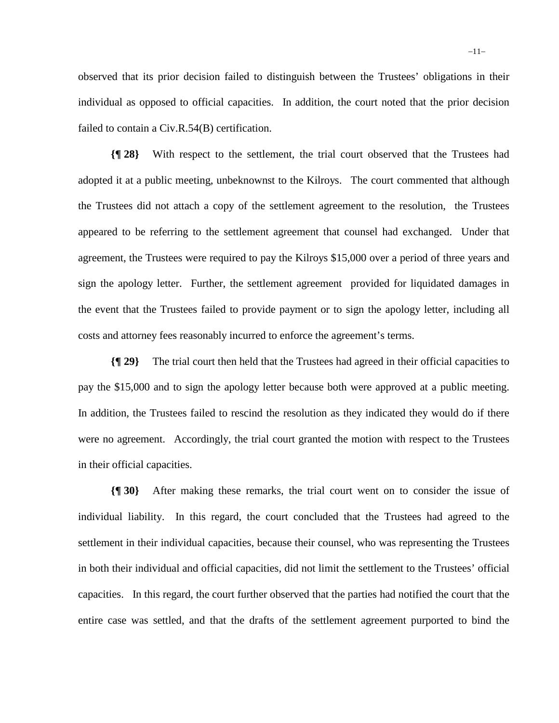observed that its prior decision failed to distinguish between the Trustees' obligations in their individual as opposed to official capacities. In addition, the court noted that the prior decision failed to contain a Civ.R.54(B) certification.

**{¶ 28}** With respect to the settlement, the trial court observed that the Trustees had adopted it at a public meeting, unbeknownst to the Kilroys. The court commented that although the Trustees did not attach a copy of the settlement agreement to the resolution, the Trustees appeared to be referring to the settlement agreement that counsel had exchanged. Under that agreement, the Trustees were required to pay the Kilroys \$15,000 over a period of three years and sign the apology letter. Further, the settlement agreement provided for liquidated damages in the event that the Trustees failed to provide payment or to sign the apology letter, including all costs and attorney fees reasonably incurred to enforce the agreement's terms.

**{¶ 29}** The trial court then held that the Trustees had agreed in their official capacities to pay the \$15,000 and to sign the apology letter because both were approved at a public meeting. In addition, the Trustees failed to rescind the resolution as they indicated they would do if there were no agreement. Accordingly, the trial court granted the motion with respect to the Trustees in their official capacities.

**{¶ 30}** After making these remarks, the trial court went on to consider the issue of individual liability. In this regard, the court concluded that the Trustees had agreed to the settlement in their individual capacities, because their counsel, who was representing the Trustees in both their individual and official capacities, did not limit the settlement to the Trustees' official capacities. In this regard, the court further observed that the parties had notified the court that the entire case was settled, and that the drafts of the settlement agreement purported to bind the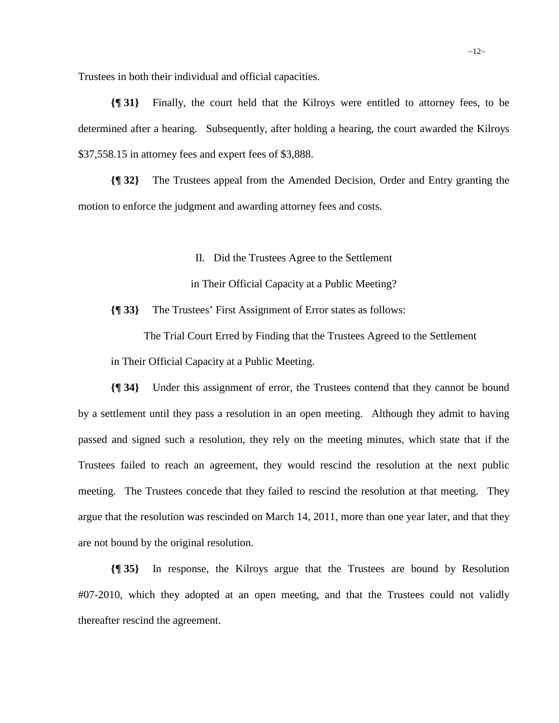Trustees in both their individual and official capacities.

**{¶ 31}** Finally, the court held that the Kilroys were entitled to attorney fees, to be determined after a hearing. Subsequently, after holding a hearing, the court awarded the Kilroys \$37,558.15 in attorney fees and expert fees of \$3,888.

**{¶ 32}** The Trustees appeal from the Amended Decision, Order and Entry granting the motion to enforce the judgment and awarding attorney fees and costs.

II. Did the Trustees Agree to the Settlement

in Their Official Capacity at a Public Meeting?

**{¶ 33}** The Trustees' First Assignment of Error states as follows:

The Trial Court Erred by Finding that the Trustees Agreed to the Settlement in Their Official Capacity at a Public Meeting.

**{¶ 34}** Under this assignment of error, the Trustees contend that they cannot be bound by a settlement until they pass a resolution in an open meeting. Although they admit to having passed and signed such a resolution, they rely on the meeting minutes, which state that if the Trustees failed to reach an agreement, they would rescind the resolution at the next public meeting. The Trustees concede that they failed to rescind the resolution at that meeting. They argue that the resolution was rescinded on March 14, 2011, more than one year later, and that they are not bound by the original resolution.

**{¶ 35}** In response, the Kilroys argue that the Trustees are bound by Resolution #07-2010, which they adopted at an open meeting, and that the Trustees could not validly thereafter rescind the agreement.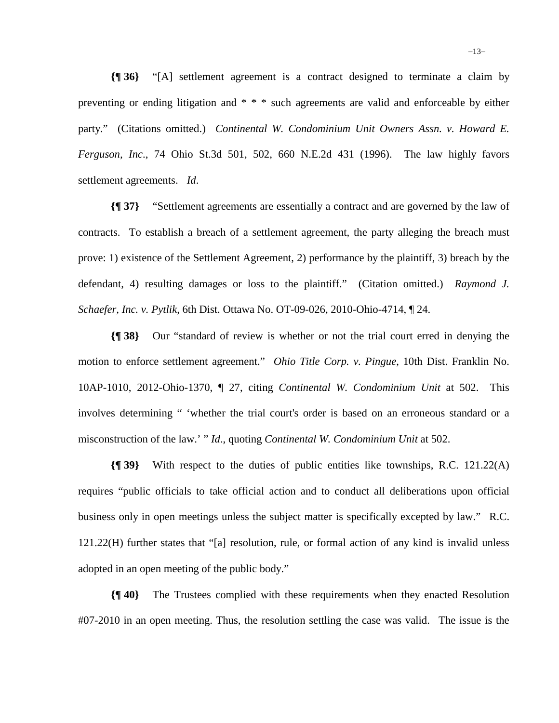**{¶ 36}** "[A] settlement agreement is a contract designed to terminate a claim by preventing or ending litigation and \* \* \* such agreements are valid and enforceable by either party." (Citations omitted.) Continental W. Condominium Unit Owners Assn. v. Howard E. *Ferguson, Inc*., 74 Ohio St.3d 501, 502, 660 N.E.2d 431 (1996). The law highly favors settlement agreements. *Id*.

**{¶ 37}** "Settlement agreements are essentially a contract and are governed by the law of contracts. To establish a breach of a settlement agreement, the party alleging the breach must prove: 1) existence of the Settlement Agreement, 2) performance by the plaintiff, 3) breach by the defendant, 4) resulting damages or loss to the plaintiff." (Citation omitted.) *Raymond J. Schaefer, Inc. v. Pytlik*, 6th Dist. Ottawa No. OT-09-026, 2010-Ohio-4714, ¶ 24.

**{¶ 38}** Our "standard of review is whether or not the trial court erred in denying the motion to enforce settlement agreement." *Ohio Title Corp. v. Pingue*, 10th Dist. Franklin No. 10AP-1010, 2012-Ohio-1370, ¶ 27, citing *Continental W. Condominium Unit* at 502. This involves determining " 'whether the trial court's order is based on an erroneous standard or a misconstruction of the law.' " *Id*., quoting *Continental W. Condominium Unit* at 502.

**{¶ 39}** With respect to the duties of public entities like townships, R.C. 121.22(A) requires "public officials to take official action and to conduct all deliberations upon official business only in open meetings unless the subject matter is specifically excepted by law." R.C. 121.22(H) further states that "[a] resolution, rule, or formal action of any kind is invalid unless adopted in an open meeting of the public body."

**{¶ 40}** The Trustees complied with these requirements when they enacted Resolution #07-2010 in an open meeting. Thus, the resolution settling the case was valid. The issue is the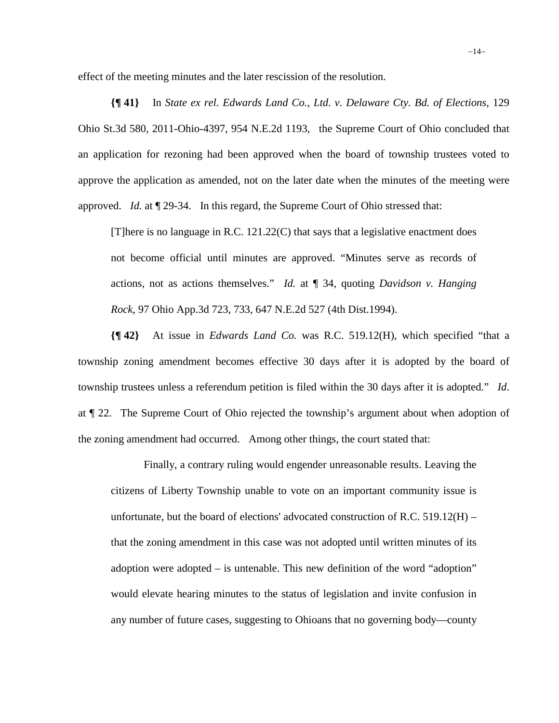effect of the meeting minutes and the later rescission of the resolution.

**{¶ 41}** In *State ex rel. Edwards Land Co., Ltd. v. Delaware Cty. Bd. of Elections*, 129 Ohio St.3d 580, 2011-Ohio-4397, 954 N.E.2d 1193, the Supreme Court of Ohio concluded that an application for rezoning had been approved when the board of township trustees voted to approve the application as amended, not on the later date when the minutes of the meeting were approved. *Id.* at ¶ 29-34. In this regard, the Supreme Court of Ohio stressed that:

[T]here is no language in R.C.  $121.22(C)$  that says that a legislative enactment does not become official until minutes are approved. "Minutes serve as records of actions, not as actions themselves." *Id.* at ¶ 34, quoting *Davidson v. Hanging Rock*, 97 Ohio App.3d 723, 733, 647 N.E.2d 527 (4th Dist.1994).

**{¶ 42}** At issue in *Edwards Land Co.* was R.C. 519.12(H), which specified "that a township zoning amendment becomes effective 30 days after it is adopted by the board of township trustees unless a referendum petition is filed within the 30 days after it is adopted." *Id*. at ¶ 22. The Supreme Court of Ohio rejected the township's argument about when adoption of the zoning amendment had occurred. Among other things, the court stated that:

Finally, a contrary ruling would engender unreasonable results. Leaving the citizens of Liberty Township unable to vote on an important community issue is unfortunate, but the board of elections' advocated construction of R.C. 519.12(H) – that the zoning amendment in this case was not adopted until written minutes of its adoption were adopted – is untenable. This new definition of the word "adoption" would elevate hearing minutes to the status of legislation and invite confusion in any number of future cases, suggesting to Ohioans that no governing body—county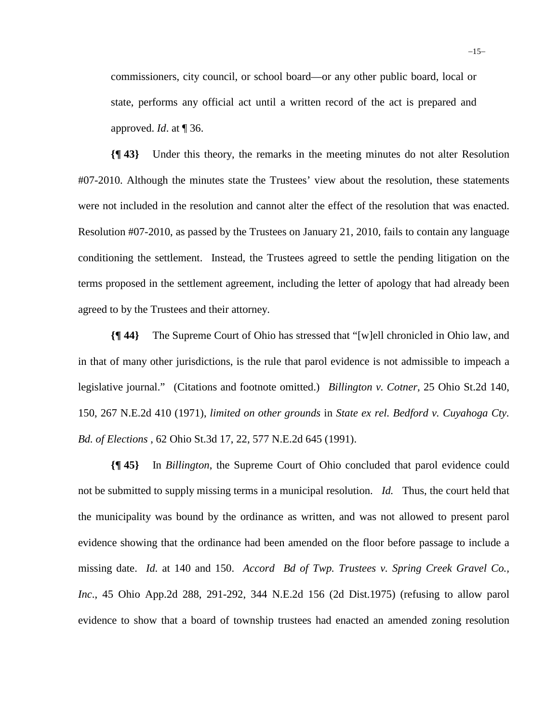commissioners, city council, or school board—or any other public board, local or state, performs any official act until a written record of the act is prepared and approved. *Id*. at ¶ 36.

**{¶ 43}** Under this theory, the remarks in the meeting minutes do not alter Resolution #07-2010. Although the minutes state the Trustees' view about the resolution, these statements were not included in the resolution and cannot alter the effect of the resolution that was enacted. Resolution #07-2010, as passed by the Trustees on January 21, 2010, fails to contain any language conditioning the settlement. Instead, the Trustees agreed to settle the pending litigation on the terms proposed in the settlement agreement, including the letter of apology that had already been agreed to by the Trustees and their attorney.

**{¶ 44}** The Supreme Court of Ohio has stressed that "[w]ell chronicled in Ohio law, and in that of many other jurisdictions, is the rule that parol evidence is not admissible to impeach a legislative journal." (Citations and footnote omitted.) *Billington v. Cotner,* 25 Ohio St.2d 140, 150, 267 N.E.2d 410 (1971), *limited on other grounds* in *State ex rel. Bedford v. Cuyahoga Cty. Bd. of Elections* , 62 Ohio St.3d 17, 22, 577 N.E.2d 645 (1991).

**{¶ 45}** In *Billington*, the Supreme Court of Ohio concluded that parol evidence could not be submitted to supply missing terms in a municipal resolution. *Id.* Thus, the court held that the municipality was bound by the ordinance as written, and was not allowed to present parol evidence showing that the ordinance had been amended on the floor before passage to include a missing date. *Id.* at 140 and 150. *Accord Bd of Twp. Trustees v. Spring Creek Gravel Co., Inc*., 45 Ohio App.2d 288, 291-292, 344 N.E.2d 156 (2d Dist.1975) (refusing to allow parol evidence to show that a board of township trustees had enacted an amended zoning resolution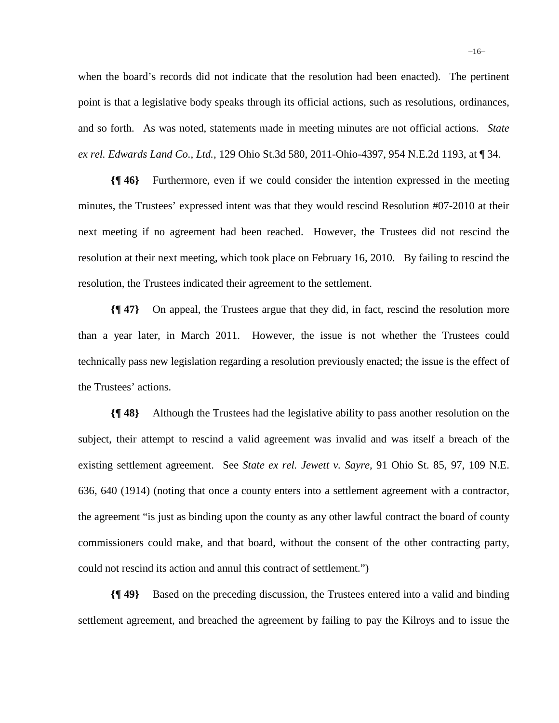when the board's records did not indicate that the resolution had been enacted). The pertinent point is that a legislative body speaks through its official actions, such as resolutions, ordinances, and so forth. As was noted, statements made in meeting minutes are not official actions. *State ex rel. Edwards Land Co., Ltd.,* 129 Ohio St.3d 580, 2011-Ohio-4397, 954 N.E.2d 1193, at ¶ 34.

**{¶ 46}** Furthermore, even if we could consider the intention expressed in the meeting minutes, the Trustees' expressed intent was that they would rescind Resolution #07-2010 at their next meeting if no agreement had been reached. However, the Trustees did not rescind the resolution at their next meeting, which took place on February 16, 2010. By failing to rescind the resolution, the Trustees indicated their agreement to the settlement.

**{¶ 47}** On appeal, the Trustees argue that they did, in fact, rescind the resolution more than a year later, in March 2011. However, the issue is not whether the Trustees could technically pass new legislation regarding a resolution previously enacted; the issue is the effect of the Trustees' actions.

**{¶ 48}** Although the Trustees had the legislative ability to pass another resolution on the subject, their attempt to rescind a valid agreement was invalid and was itself a breach of the existing settlement agreement. See *State ex rel. Jewett v. Sayre,* 91 Ohio St. 85, 97, 109 N.E. 636, 640 (1914) (noting that once a county enters into a settlement agreement with a contractor, the agreement "is just as binding upon the county as any other lawful contract the board of county commissioners could make, and that board, without the consent of the other contracting party, could not rescind its action and annul this contract of settlement.")

**{¶ 49}** Based on the preceding discussion, the Trustees entered into a valid and binding settlement agreement, and breached the agreement by failing to pay the Kilroys and to issue the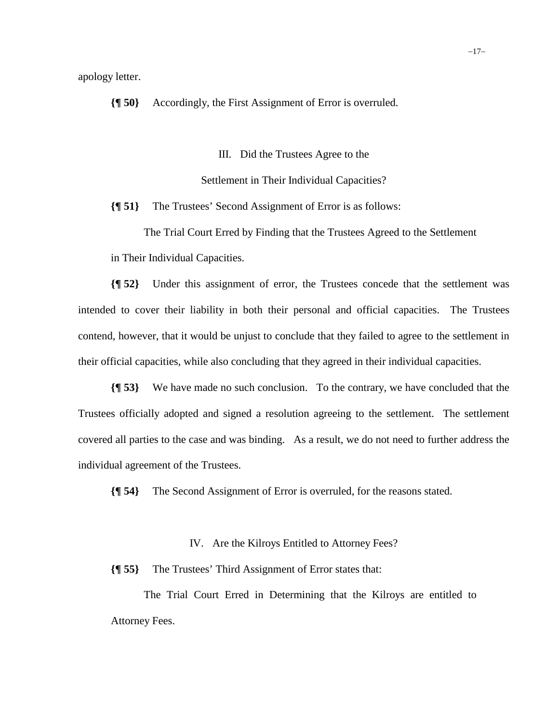apology letter.

**{¶ 50}** Accordingly, the First Assignment of Error is overruled.

III. Did the Trustees Agree to the

Settlement in Their Individual Capacities?

**{¶ 51}** The Trustees' Second Assignment of Error is as follows:

The Trial Court Erred by Finding that the Trustees Agreed to the Settlement in Their Individual Capacities.

**{¶ 52}** Under this assignment of error, the Trustees concede that the settlement was intended to cover their liability in both their personal and official capacities. The Trustees contend, however, that it would be unjust to conclude that they failed to agree to the settlement in their official capacities, while also concluding that they agreed in their individual capacities.

**{¶ 53}** We have made no such conclusion. To the contrary, we have concluded that the Trustees officially adopted and signed a resolution agreeing to the settlement. The settlement covered all parties to the case and was binding. As a result, we do not need to further address the individual agreement of the Trustees.

**{¶ 54}** The Second Assignment of Error is overruled, for the reasons stated.

IV. Are the Kilroys Entitled to Attorney Fees?

**{¶ 55}** The Trustees' Third Assignment of Error states that:

The Trial Court Erred in Determining that the Kilroys are entitled to Attorney Fees.